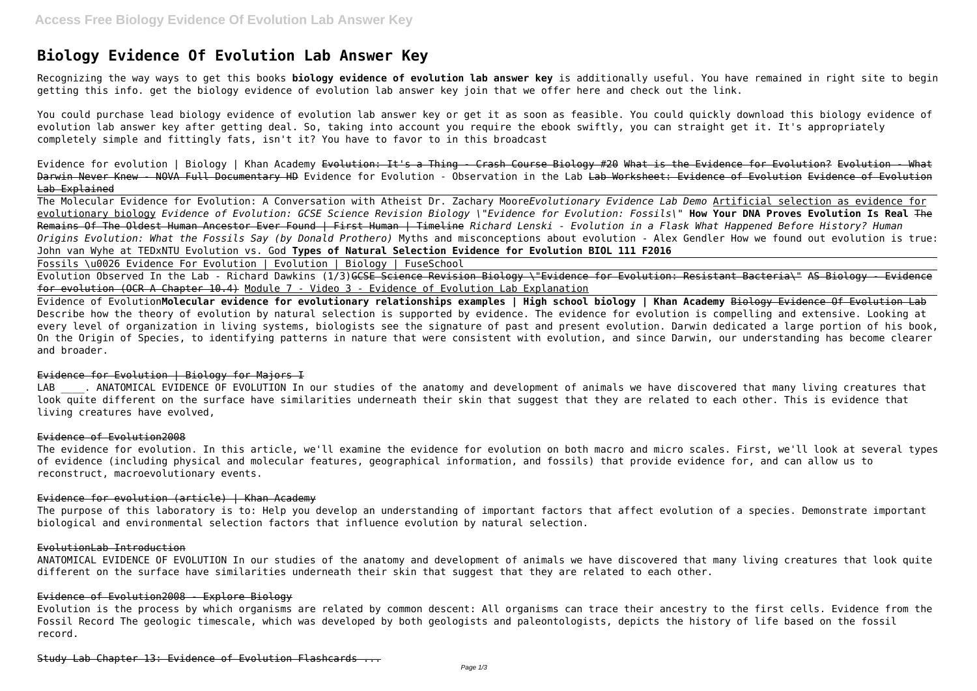# **Biology Evidence Of Evolution Lab Answer Key**

Recognizing the way ways to get this books **biology evidence of evolution lab answer key** is additionally useful. You have remained in right site to begin getting this info. get the biology evidence of evolution lab answer key join that we offer here and check out the link.

Evidence for evolution | Biology | Khan Academy Evolution: It's a Thing - Crash Course Biology #20 What is the Evidence for Evolution? Evolution - What Darwin Never Knew - NOVA Full Documentary HD Evidence for Evolution - Observation in the Lab Lab Worksheet: Evidence of Evolution Evidence of Evolution Lab Explained

You could purchase lead biology evidence of evolution lab answer key or get it as soon as feasible. You could quickly download this biology evidence of evolution lab answer key after getting deal. So, taking into account you require the ebook swiftly, you can straight get it. It's appropriately completely simple and fittingly fats, isn't it? You have to favor to in this broadcast

Evolution Observed In the Lab - Richard Dawkins (1/3)<del>GCSE Science Revision Biology \"Evidence for Evolution: Resistant Bacteria\" AS Biology - Evidence</del> for evolution (OCR A Chapter 10.4) Module 7 - Video 3 - Evidence of Evolution Lab Explanation

The Molecular Evidence for Evolution: A Conversation with Atheist Dr. Zachary Moore*Evolutionary Evidence Lab Demo* Artificial selection as evidence for evolutionary biology *Evidence of Evolution: GCSE Science Revision Biology \"Evidence for Evolution: Fossils\"* **How Your DNA Proves Evolution Is Real** The Remains Of The Oldest Human Ancestor Ever Found | First Human | Timeline *Richard Lenski - Evolution in a Flask What Happened Before History? Human Origins Evolution: What the Fossils Say (by Donald Prothero)* Myths and misconceptions about evolution - Alex Gendler How we found out evolution is true: John van Wyhe at TEDxNTU Evolution vs. God **Types of Natural Selection Evidence for Evolution BIOL 111 F2016**

LAB . ANATOMICAL EVIDENCE OF EVOLUTION In our studies of the anatomy and development of animals we have discovered that many living creatures that look quite different on the surface have similarities underneath their skin that suggest that they are related to each other. This is evidence that living creatures have evolved,

Fossils \u0026 Evidence For Evolution | Evolution | Biology | FuseSchool

Evidence of Evolution**Molecular evidence for evolutionary relationships examples | High school biology | Khan Academy** Biology Evidence Of Evolution Lab Describe how the theory of evolution by natural selection is supported by evidence. The evidence for evolution is compelling and extensive. Looking at every level of organization in living systems, biologists see the signature of past and present evolution. Darwin dedicated a large portion of his book, On the Origin of Species, to identifying patterns in nature that were consistent with evolution, and since Darwin, our understanding has become clearer and broader.

# Evidence for Evolution | Biology for Majors I

## Evidence of Evolution2008

The evidence for evolution. In this article, we'll examine the evidence for evolution on both macro and micro scales. First, we'll look at several types of evidence (including physical and molecular features, geographical information, and fossils) that provide evidence for, and can allow us to reconstruct, macroevolutionary events.

# Evidence for evolution (article) | Khan Academy

The purpose of this laboratory is to: Help you develop an understanding of important factors that affect evolution of a species. Demonstrate important biological and environmental selection factors that influence evolution by natural selection.

## EvolutionLab Introduction

ANATOMICAL EVIDENCE OF EVOLUTION In our studies of the anatomy and development of animals we have discovered that many living creatures that look quite different on the surface have similarities underneath their skin that suggest that they are related to each other.

# Evidence of Evolution2008 - Explore Biology

Evolution is the process by which organisms are related by common descent: All organisms can trace their ancestry to the first cells. Evidence from the Fossil Record The geologic timescale, which was developed by both geologists and paleontologists, depicts the history of life based on the fossil record.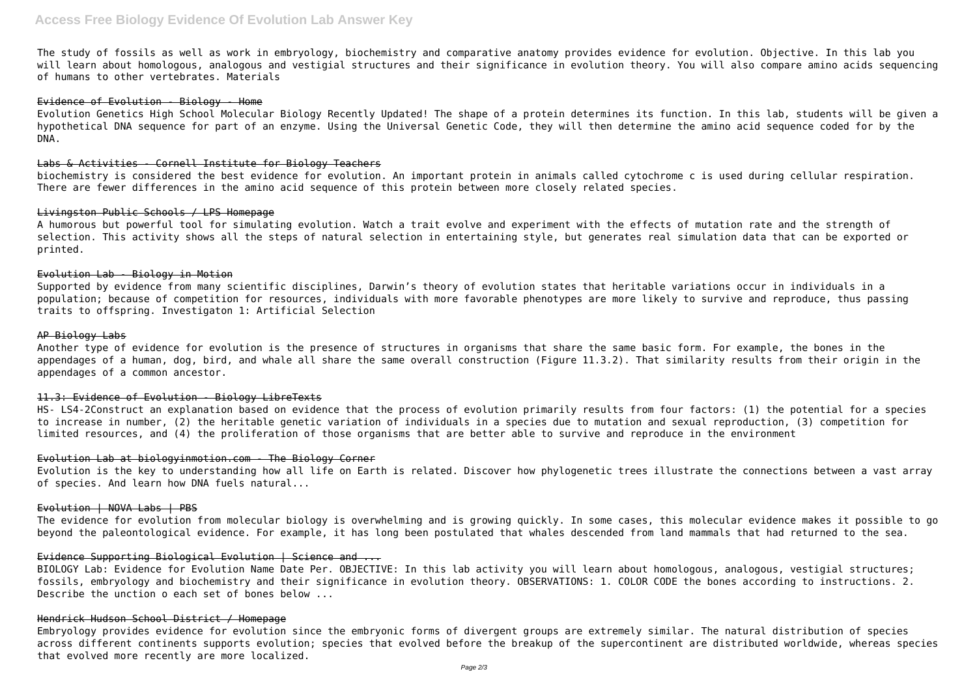The study of fossils as well as work in embryology, biochemistry and comparative anatomy provides evidence for evolution. Objective. In this lab you will learn about homologous, analogous and vestigial structures and their significance in evolution theory. You will also compare amino acids sequencing of humans to other vertebrates. Materials

#### Evidence of Evolution - Biology - Home

Evolution Genetics High School Molecular Biology Recently Updated! The shape of a protein determines its function. In this lab, students will be given a hypothetical DNA sequence for part of an enzyme. Using the Universal Genetic Code, they will then determine the amino acid sequence coded for by the DNA.

#### Labs & Activities - Cornell Institute for Biology Teachers

biochemistry is considered the best evidence for evolution. An important protein in animals called cytochrome c is used during cellular respiration. There are fewer differences in the amino acid sequence of this protein between more closely related species.

#### Livingston Public Schools / LPS Homepage

A humorous but powerful tool for simulating evolution. Watch a trait evolve and experiment with the effects of mutation rate and the strength of selection. This activity shows all the steps of natural selection in entertaining style, but generates real simulation data that can be exported or printed.

#### Evolution Lab - Biology in Motion

Supported by evidence from many scientific disciplines, Darwin's theory of evolution states that heritable variations occur in individuals in a population; because of competition for resources, individuals with more favorable phenotypes are more likely to survive and reproduce, thus passing traits to offspring. Investigaton 1: Artificial Selection

#### AP Biology Labs

Another type of evidence for evolution is the presence of structures in organisms that share the same basic form. For example, the bones in the appendages of a human, dog, bird, and whale all share the same overall construction (Figure 11.3.2). That similarity results from their origin in the appendages of a common ancestor.

#### 11.3: Evidence of Evolution - Biology LibreTexts

HS- LS4-2Construct an explanation based on evidence that the process of evolution primarily results from four factors: (1) the potential for a species to increase in number, (2) the heritable genetic variation of individuals in a species due to mutation and sexual reproduction, (3) competition for limited resources, and (4) the proliferation of those organisms that are better able to survive and reproduce in the environment

#### Evolution Lab at biologyinmotion.com - The Biology Corner

Evolution is the key to understanding how all life on Earth is related. Discover how phylogenetic trees illustrate the connections between a vast array of species. And learn how DNA fuels natural...

# Evolution | NOVA Labs | PBS

The evidence for evolution from molecular biology is overwhelming and is growing quickly. In some cases, this molecular evidence makes it possible to go beyond the paleontological evidence. For example, it has long been postulated that whales descended from land mammals that had returned to the sea.

#### Evidence Supporting Biological Evolution | Science and ...

BIOLOGY Lab: Evidence for Evolution Name Date Per. OBJECTIVE: In this lab activity you will learn about homologous, analogous, vestigial structures; fossils, embryology and biochemistry and their significance in evolution theory. OBSERVATIONS: 1. COLOR CODE the bones according to instructions. 2. Describe the unction o each set of bones below ...

#### Hendrick Hudson School District / Homepage

Embryology provides evidence for evolution since the embryonic forms of divergent groups are extremely similar. The natural distribution of species across different continents supports evolution; species that evolved before the breakup of the supercontinent are distributed worldwide, whereas species that evolved more recently are more localized.